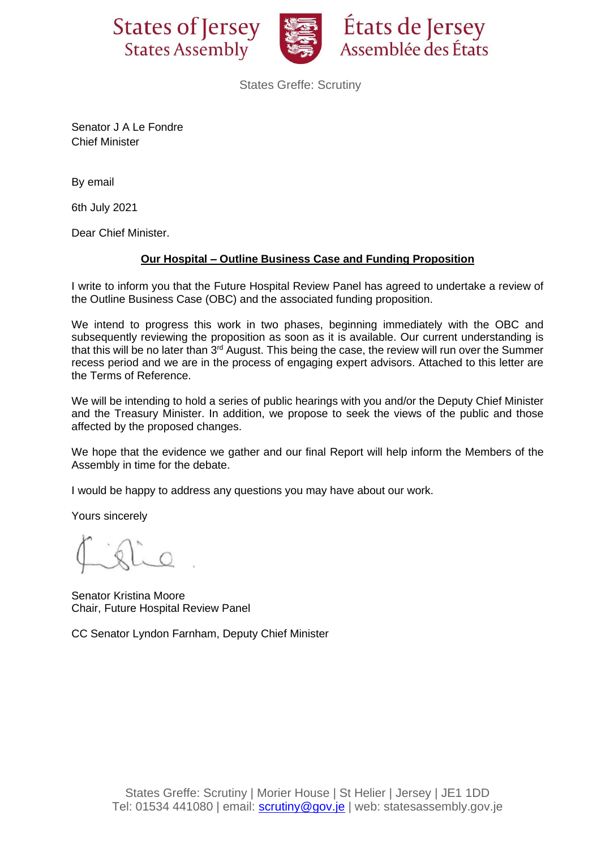



États de Jersey Assemblée des États

States Greffe: Scrutiny

Senator J A Le Fondre Chief Minister

By email

6th July 2021

Dear Chief Minister.

## **Our Hospital – Outline Business Case and Funding Proposition**

I write to inform you that the Future Hospital Review Panel has agreed to undertake a review of the Outline Business Case (OBC) and the associated funding proposition.

We intend to progress this work in two phases, beginning immediately with the OBC and subsequently reviewing the proposition as soon as it is available. Our current understanding is that this will be no later than 3<sup>rd</sup> August. This being the case, the review will run over the Summer recess period and we are in the process of engaging expert advisors. Attached to this letter are the Terms of Reference.

We will be intending to hold a series of public hearings with you and/or the Deputy Chief Minister and the Treasury Minister. In addition, we propose to seek the views of the public and those affected by the proposed changes.

We hope that the evidence we gather and our final Report will help inform the Members of the Assembly in time for the debate.

I would be happy to address any questions you may have about our work.

Yours sincerely

Senator Kristina Moore Chair, Future Hospital Review Panel

CC Senator Lyndon Farnham, Deputy Chief Minister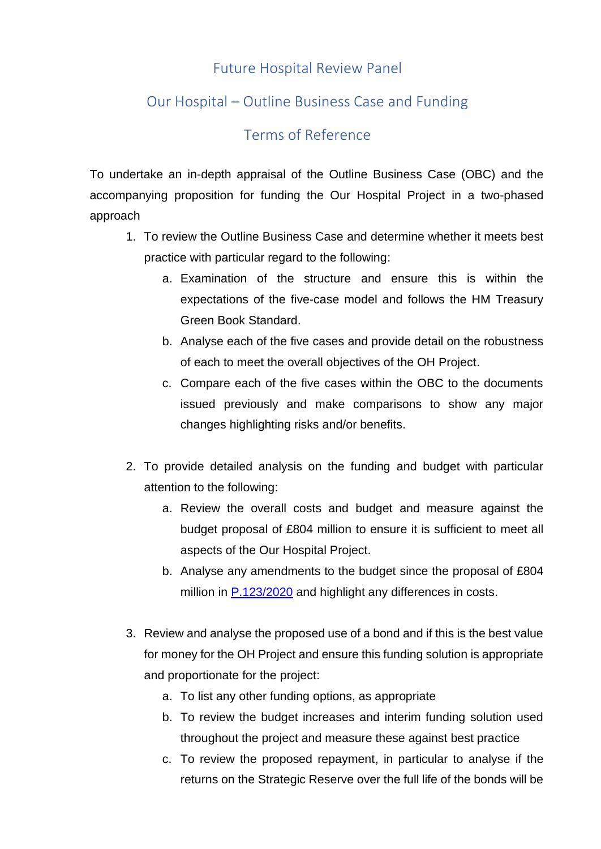## Future Hospital Review Panel

## Our Hospital – Outline Business Case and Funding

## Terms of Reference

To undertake an in-depth appraisal of the Outline Business Case (OBC) and the accompanying proposition for funding the Our Hospital Project in a two-phased approach

- 1. To review the Outline Business Case and determine whether it meets best practice with particular regard to the following:
	- a. Examination of the structure and ensure this is within the expectations of the five-case model and follows the HM Treasury Green Book Standard.
	- b. Analyse each of the five cases and provide detail on the robustness of each to meet the overall objectives of the OH Project.
	- c. Compare each of the five cases within the OBC to the documents issued previously and make comparisons to show any major changes highlighting risks and/or benefits.
- 2. To provide detailed analysis on the funding and budget with particular attention to the following:
	- a. Review the overall costs and budget and measure against the budget proposal of £804 million to ensure it is sufficient to meet all aspects of the Our Hospital Project.
	- b. Analyse any amendments to the budget since the proposal of £804 million in [P.123/2020](https://statesassembly.gov.je/assemblypropositions/2020/p.123-2020.pdf) and highlight any differences in costs.
- 3. Review and analyse the proposed use of a bond and if this is the best value for money for the OH Project and ensure this funding solution is appropriate and proportionate for the project:
	- a. To list any other funding options, as appropriate
	- b. To review the budget increases and interim funding solution used throughout the project and measure these against best practice
	- c. To review the proposed repayment, in particular to analyse if the returns on the Strategic Reserve over the full life of the bonds will be